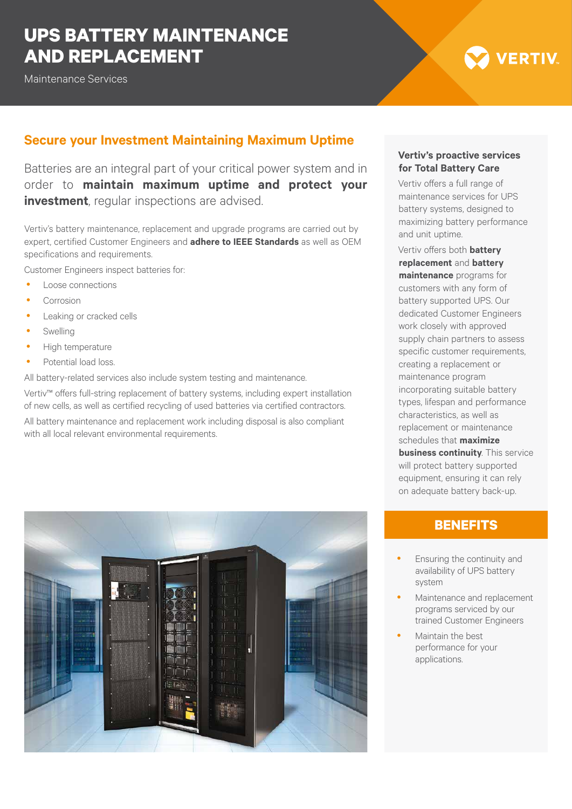## **UPS BATTERY MAINTENANCE AND REPLACEMENT**

Maintenance Services

# **VERTIV**

## **Secure your Investment Maintaining Maximum Uptime**

Batteries are an integral part of your critical power system and in order to **maintain maximum uptime and protect your investment**, regular inspections are advised.

Vertiv's battery maintenance, replacement and upgrade programs are carried out by expert, certified Customer Engineers and **adhere to IEEE Standards** as well as OEM specifications and requirements.

Customer Engineers inspect batteries for:

- Loose connections
- Corrosion
- Leaking or cracked cells
- Swelling
- High temperature
- Potential load loss.

All battery-related services also include system testing and maintenance.

Vertiv™ offers full-string replacement of battery systems, including expert installation of new cells, as well as certified recycling of used batteries via certified contractors. All battery maintenance and replacement work including disposal is also compliant with all local relevant environmental requirements.



#### **Vertiv's proactive services for Total Battery Care**

Vertiv offers a full range of maintenance services for UPS battery systems, designed to maximizing battery performance and unit uptime.

Vertiv offers both **battery replacement** and **battery maintenance** programs for customers with any form of battery supported UPS. Our dedicated Customer Engineers work closely with approved supply chain partners to assess specific customer requirements, creating a replacement or maintenance program incorporating suitable battery types, lifespan and performance characteristics, as well as replacement or maintenance schedules that **maximize business continuity**. This service will protect battery supported equipment, ensuring it can rely on adequate battery back-up.

## **BENEFITS**

- Ensuring the continuity and availability of UPS battery system
- Maintenance and replacement programs serviced by our trained Customer Engineers
- Maintain the best performance for your applications.